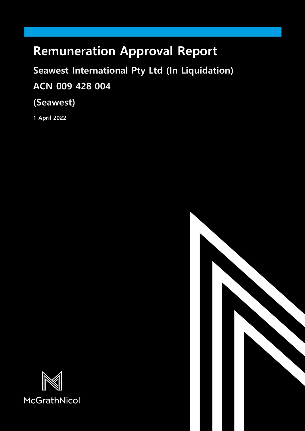# **Remuneration Approval Report**

**Seawest International Pty Ltd (In Liquidation) ACN 009 428 004**

**(Seawest)**

**1 April 2022**



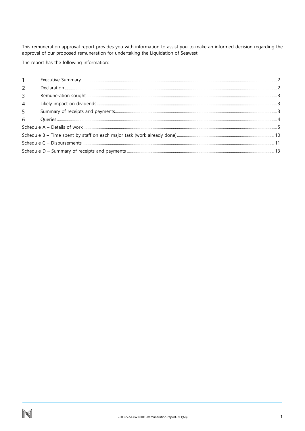This remuneration approval report provides you with information to assist you to make an informed decision regarding the approval of our proposed remuneration for undertaking the Liquidation of Seawest.

The report has the following information:

| 2              |  |
|----------------|--|
| 3              |  |
| $\overline{4}$ |  |
| 5              |  |
| 6              |  |
|                |  |
|                |  |
|                |  |
|                |  |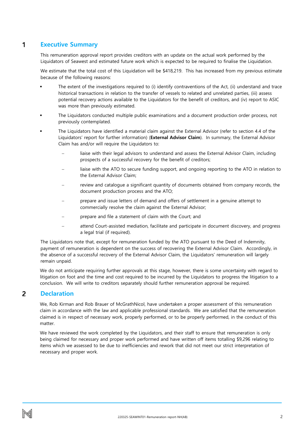#### <span id="page-2-0"></span>1 **Executive Summary**

This remuneration approval report provides creditors with an update on the actual work performed by the Liquidators of Seawest and estimated future work which is expected to be required to finalise the Liquidation.

We estimate that the total cost of this Liquidation will be \$418,219. This has increased from my previous estimate because of the following reasons:

- The extent of the investigations required to (i) identify contraventions of the Act, (ii) understand and trace historical transactions in relation to the transfer of vessels to related and unrelated parties, (iii) assess potential recovery actions available to the Liquidators for the benefit of creditors, and (iv) report to ASIC was more than previously estimated.
- The Liquidators conducted multiple public examinations and a document production order process, not previously contemplated.
- The Liquidators have identified a material claim against the External Advisor (refer to section 4.4 of the Liquidators' report for further information) (**External Advisor Claim**). In summary, the External Advisor Claim has and/or will require the Liquidators to:
	- liaise with their legal advisors to understand and assess the External Advisor Claim, including prospects of a successful recovery for the benefit of creditors;
	- liaise with the ATO to secure funding support, and ongoing reporting to the ATO in relation to the External Advisor Claim;
	- review and catalogue a significant quantity of documents obtained from company records, the document production process and the ATO;
	- − prepare and issue letters of demand and offers of settlement in a genuine attempt to commercially resolve the claim against the External Advisor;
	- − prepare and file a statement of claim with the Court; and
	- attend Court-assisted mediation, facilitate and participate in document discovery, and progress a legal trial (if required).

The Liquidators note that, except for remuneration funded by the ATO pursuant to the Deed of Indemnity, payment of remuneration is dependent on the success of recovering the External Advisor Claim. Accordingly, in the absence of a successful recovery of the External Advisor Claim, the Liquidators' remuneration will largely remain unpaid.

We do not anticipate requiring further approvals at this stage, however, there is some uncertainty with regard to litigation on foot and the time and cost required to be incurred by the Liquidators to progress the litigation to a conclusion. We will write to creditors separately should further remuneration approval be required.

#### <span id="page-2-1"></span>2 **Declaration**

We, Rob Kirman and Rob Brauer of McGrathNicol, have undertaken a proper assessment of this remuneration claim in accordance with the law and applicable professional standards. We are satisfied that the remuneration claimed is in respect of necessary work, properly performed, or to be properly performed, in the conduct of this matter.

We have reviewed the work completed by the Liquidators, and their staff to ensure that remuneration is only being claimed for necessary and proper work performed and have written off items totalling \$9,296 relating to items which we assessed to be due to inefficiencies and rework that did not meet our strict interpretation of necessary and proper work.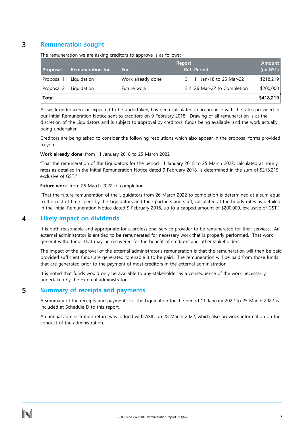#### <span id="page-3-0"></span> $\overline{\mathbf{3}}$ **Remuneration sought**

|            |                         |                   | <b>Report</b> |                             | <b>Amount</b> |
|------------|-------------------------|-------------------|---------------|-----------------------------|---------------|
| Proposal   | <b>Remuneration for</b> | For               |               | <b>Ref</b> Period           | (ex GST)      |
| Proposal 1 | Liquidation             | Work already done |               | 3.1 11 Jan-18 to 25 Mar-22  | \$218,219     |
| Proposal 2 | Liquidation             | Future work       |               | 3.2 26 Mar-22 to Completion | \$200,000     |
| Total      |                         |                   |               |                             | \$418,219     |

The remuneration we are asking creditors to approve is as follows:

All work undertaken, or expected to be undertaken, has been calculated in accordance with the rates provided in our Initial Remuneration Notice sent to creditors on 9 February 2018. Drawing of all remuneration is at the discretion of the Liquidators and is subject to approval by creditors, funds being available, and the work actually being undertaken.

Creditors are being asked to consider the following resolutions which also appear in the proposal forms provided to you.

### **Work already done**: from 11 January 2018 to 25 March 2022

"That the remuneration of the Liquidators for the period 11 January 2018 to 25 March 2022, calculated at hourly rates as detailed in the Initial Remuneration Notice dated 9 February 2018, is determined in the sum of \$218,219, exclusive of GST."

### **Future work**: from 26 March 2022 to completion

"That the future remuneration of the Liquidators from 26 March 2022 to completion is determined at a sum equal to the cost of time spent by the Liquidators and their partners and staff, calculated at the hourly rates as detailed in the Initial Remuneration Notice dated 9 February 2018, up to a capped amount of \$200,000, exclusive of GST."

#### <span id="page-3-1"></span>4 **Likely impact on dividends**

It is both reasonable and appropriate for a professional service provider to be remunerated for their services. An external administrator is entitled to be remunerated for necessary work that is properly performed. That work generates the funds that may be recovered for the benefit of creditors and other stakeholders.

The impact of the approval of the external administrator's remuneration is that the remuneration will then be paid provided sufficient funds are generated to enable it to be paid. The remuneration will be paid from those funds that are generated prior to the payment of most creditors in the external administration.

It is noted that funds would only be available to any stakeholder as a consequence of the work necessarily undertaken by the external administrator.

#### <span id="page-3-2"></span>5 **Summary of receipts and payments**

A summary of the receipts and payments for the Liquidation for the period 11 January 2022 to 25 March 2022 is included at Schedule D to this report.

An annual administration return was lodged with ASIC on 28 March 2022, which also provides information on the conduct of the administration.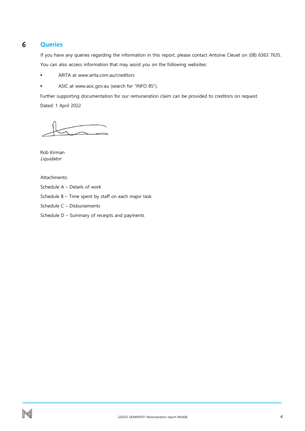#### <span id="page-4-0"></span>6 **Queries**

If you have any queries regarding the information in this report, please contact Antoine Cleuet on (08) 6363 7635. You can also access information that may assist you on the following websites:

- **ARITA at www.arita.com.au/creditors**
- ASIC at www.asic.gov.au (search for "INFO 85").

Further supporting documentation for our remuneration claim can be provided to creditors on request. Dated: 1 April 2022

Rob Kirman Liquidator

Attachments:

- Schedule A Details of work
- Schedule B Time spent by staff on each major task
- Schedule C Disbursements
- Schedule D Summary of receipts and payments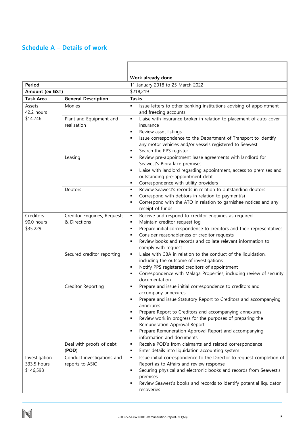# <span id="page-5-0"></span>**Schedule A – Details of work**

|                                           |                                                | Work already done                                                                                                                                                                                                                                                                                                                                                                                                                                                                                                       |  |  |  |  |  |
|-------------------------------------------|------------------------------------------------|-------------------------------------------------------------------------------------------------------------------------------------------------------------------------------------------------------------------------------------------------------------------------------------------------------------------------------------------------------------------------------------------------------------------------------------------------------------------------------------------------------------------------|--|--|--|--|--|
| <b>Period</b><br>Amount (ex GST)          |                                                | 11 January 2018 to 25 March 2022                                                                                                                                                                                                                                                                                                                                                                                                                                                                                        |  |  |  |  |  |
| <b>Task Area</b>                          |                                                | \$218,219<br><b>Tasks</b>                                                                                                                                                                                                                                                                                                                                                                                                                                                                                               |  |  |  |  |  |
|                                           | <b>General Description</b>                     | $\blacksquare$                                                                                                                                                                                                                                                                                                                                                                                                                                                                                                          |  |  |  |  |  |
| Assets<br>42.2 hours                      | Monies                                         | Issue letters to other banking institutions advising of appointment<br>and freezing accounts.                                                                                                                                                                                                                                                                                                                                                                                                                           |  |  |  |  |  |
| \$14,746                                  | Plant and Equipment and<br>realisation         | Liaise with insurance broker in relation to placement of auto-cover<br>٠<br>insurance<br>Review asset listings<br>٠<br>Issue correspondence to the Department of Transport to identify<br>٠<br>any motor vehicles and/or vessels registered to Seawest<br>Search the PPS register<br>٠                                                                                                                                                                                                                                  |  |  |  |  |  |
|                                           | Leasing                                        | Review pre-appointment lease agreements with landlord for<br>٠<br>Seawest's Bibra lake premises<br>Liaise with landlord regarding appointment, access to premises and<br>$\blacksquare$<br>outstanding pre-appointment debt<br>Correspondence with utility providers<br>٠                                                                                                                                                                                                                                               |  |  |  |  |  |
|                                           | Debtors                                        | Review Seawest's records in relation to outstanding debtors<br>٠<br>Correspond with debtors in relation to payment(s)<br>$\blacksquare$<br>Correspond with the ATO in relation to garnishee notices and any<br>٠<br>receipt of funds                                                                                                                                                                                                                                                                                    |  |  |  |  |  |
| Creditors<br>90.0 hours<br>\$35,229       | Creditor Enquiries, Requests<br>& Directions   | Receive and respond to creditor enquiries as required<br>٠<br>Maintain creditor request log<br>٠<br>Prepare initial correspondence to creditors and their representatives<br>$\blacksquare$<br>Consider reasonableness of creditor requests<br>٠<br>Review books and records and collate relevant information to<br>$\blacksquare$<br>comply with request                                                                                                                                                               |  |  |  |  |  |
|                                           | Secured creditor reporting                     | Liaise with CBA in relation to the conduct of the liquidation,<br>٠<br>including the outcome of investigations<br>Notify PPS registered creditors of appointment<br>٠<br>Correspondence with Malaga Properties, including review of security<br>٠<br>documentation                                                                                                                                                                                                                                                      |  |  |  |  |  |
|                                           | Creditor Reporting<br>Deal with proofs of debt | Prepare and issue initial correspondence to creditors and<br>٠<br>accompany annexures<br>Prepare and issue Statutory Report to Creditors and accompanying<br>$\blacksquare$<br>annexures<br>Prepare Report to Creditors and accompanying annexures<br>$\blacksquare$<br>Review work in progress for the purposes of preparing the<br>Remuneration Approval Report<br>Prepare Remuneration Approval Report and accompanying<br>information and documents<br>Receive POD's from claimants and related correspondence<br>٠ |  |  |  |  |  |
|                                           | (POD)                                          | Enter details into liquidation accounting system<br>٠                                                                                                                                                                                                                                                                                                                                                                                                                                                                   |  |  |  |  |  |
| Investigation<br>333.5 hours<br>\$146,598 | Conduct investigations and<br>reports to ASIC  | Issue initial correspondence to the Director to request completion of<br>$\blacksquare$<br>Report as to Affairs and review response<br>Securing physical and electronic books and records from Seawest's<br>٠<br>premises<br>Review Seawest's books and records to identify potential liquidator<br>recoveries                                                                                                                                                                                                          |  |  |  |  |  |

г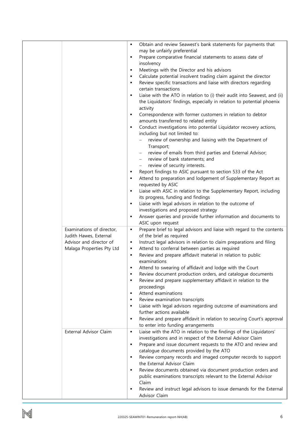|                           | ٠ | Obtain and review Seawest's bank statements for payments that                                                          |
|---------------------------|---|------------------------------------------------------------------------------------------------------------------------|
|                           |   | may be unfairly preferential                                                                                           |
|                           | ٠ | Prepare comparative financial statements to assess date of                                                             |
|                           |   | insolvency                                                                                                             |
|                           | ٠ | Meetings with the Director and his advisors                                                                            |
|                           | ٠ | Calculate potential insolvent trading claim against the director                                                       |
|                           | ٠ | Review specific transactions and liaise with directors regarding                                                       |
|                           |   | certain transactions                                                                                                   |
|                           | ٠ | Liaise with the ATO in relation to (i) their audit into Seawest, and (ii)                                              |
|                           |   | the Liquidators' findings, especially in relation to potential phoenix                                                 |
|                           |   | activity                                                                                                               |
|                           | ٠ | Correspondence with former customers in relation to debtor                                                             |
|                           |   | amounts transferred to related entity                                                                                  |
|                           | ٠ | Conduct investigations into potential Liquidator recovery actions,<br>including but not limited to:                    |
|                           |   | review of ownership and liaising with the Department of                                                                |
|                           |   | Transport;                                                                                                             |
|                           |   | review of emails from third parties and External Advisor;                                                              |
|                           |   | review of bank statements; and                                                                                         |
|                           |   | review of security interests.                                                                                          |
|                           | ٠ | Report findings to ASIC pursuant to section 533 of the Act                                                             |
|                           | п | Attend to preparation and lodgement of Supplementary Report as                                                         |
|                           |   | requested by ASIC                                                                                                      |
|                           | ٠ | Liaise with ASIC in relation to the Supplementary Report, including                                                    |
|                           |   | its progress, funding and findings                                                                                     |
|                           | ٠ | Liaise with legal advisors in relation to the outcome of                                                               |
|                           |   | investigations and proposed strategy                                                                                   |
|                           | ٠ | Answer queries and provide further information and documents to                                                        |
|                           |   | ASIC upon request                                                                                                      |
| Examinations of director, | ٠ | Prepare brief to legal advisors and liaise with regard to the contents                                                 |
| Judith Hawes, External    |   | of the brief as required                                                                                               |
| Advisor and director of   | п | Instruct legal advisors in relation to claim preparations and filing                                                   |
| Malaga Properties Pty Ltd | ٠ | Attend to conferral between parties as required                                                                        |
|                           | ٠ | Review and prepare affidavit material in relation to public                                                            |
|                           |   | examinations                                                                                                           |
|                           | ٠ | Attend to swearing of affidavit and lodge with the Court<br>Review document production orders, and catalogue documents |
|                           | ٠ | Review and prepare supplementary affidavit in relation to the                                                          |
|                           |   | proceedings                                                                                                            |
|                           | ٠ | Attend examinations                                                                                                    |
|                           | ٠ | Review examination transcripts                                                                                         |
|                           | ٠ | Liaise with legal advisors regarding outcome of examinations and                                                       |
|                           |   | further actions available                                                                                              |
|                           | ٠ | Review and prepare affidavit in relation to securing Court's approval                                                  |
|                           |   | to enter into funding arrangements                                                                                     |
| External Advisor Claim    | ٠ | Liaise with the ATO in relation to the findings of the Liquidators'                                                    |
|                           |   | investigations and in respect of the External Advisor Claim                                                            |
|                           | ٠ | Prepare and issue document requests to the ATO and review and                                                          |
|                           |   | catalogue documents provided by the ATO                                                                                |
|                           | ٠ | Review company records and imaged computer records to support                                                          |
|                           |   | the External Advisor Claim                                                                                             |
|                           | ٠ | Review documents obtained via document production orders and                                                           |
|                           |   | public examinations transcripts relevant to the External Advisor                                                       |
|                           |   | Claim                                                                                                                  |
|                           | ٠ | Review and instruct legal advisors to issue demands for the External                                                   |
|                           |   | Advisor Claim                                                                                                          |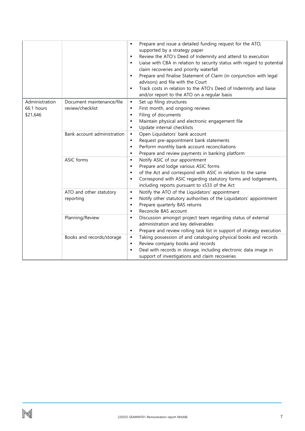|                |                             | Prepare and issue a detailed funding request for the ATO,<br>$\blacksquare$         |
|----------------|-----------------------------|-------------------------------------------------------------------------------------|
|                |                             | supported by a strategy paper                                                       |
|                |                             | Review the ATO's Deed of Indemnity and attend to execution<br>٠                     |
|                |                             | Liaise with CBA in relation to security status with regard to potential<br>٠        |
|                |                             | claim recoveries and priority waterfall                                             |
|                |                             | Prepare and finalise Statement of Claim (in conjunction with legal<br>٠             |
|                |                             | advisors) and file with the Court                                                   |
|                |                             | Track costs in relation to the ATO's Deed of Indemnity and liaise<br>$\blacksquare$ |
|                |                             | and/or report to the ATO on a regular basis                                         |
| Administration | Document maintenance/file   | Set up filing structures<br>٠                                                       |
| 66.1 hours     | review/checklist            | First month, and ongoing reviews<br>٠                                               |
| \$21,646       |                             | Filing of documents<br>$\blacksquare$                                               |
|                |                             | Maintain physical and electronic engagement file<br>٠                               |
|                |                             | Update internal checklists<br>٠                                                     |
|                | Bank account administration | Open Liquidators' bank account<br>٠                                                 |
|                |                             | Request pre-appointment bank statements<br>٠                                        |
|                |                             | Perform monthly bank account reconciliations<br>$\blacksquare$                      |
|                |                             | Prepare and review payments in banking platform<br>٠                                |
|                | ASIC forms                  | Notify ASIC of our appointment<br>٠                                                 |
|                |                             | Prepare and lodge various ASIC forms<br>٠                                           |
|                |                             | of the Act and correspond with ASIC in relation to the same<br>٠                    |
|                |                             | Correspond with ASIC regarding statutory forms and lodgements,<br>٠                 |
|                |                             | including reports pursuant to s533 of the Act                                       |
|                | ATO and other statutory     | Notify the ATO of the Liquidators' appointment<br>٠                                 |
|                | reporting                   | Notify other statutory authorities of the Liquidators' appointment<br>٠             |
|                |                             | Prepare quarterly BAS returns<br>٠                                                  |
|                |                             | Reconcile BAS account<br>٠                                                          |
|                | Planning/Review             | Discussion amongst project team regarding status of external<br>٠                   |
|                |                             | administration and key deliverables                                                 |
|                |                             | Prepare and review rolling task list in support of strategy execution<br>٠          |
|                | Books and records/storage   | Taking possession of and cataloguing physical books and records<br>٠                |
|                |                             | Review company books and records<br>٠                                               |
|                |                             | Deal with records in storage, including electronic data image in<br>×               |
|                |                             | support of investigations and claim recoveries                                      |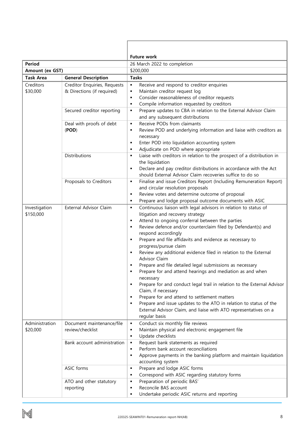|                                                |                              | <b>Future work</b>                                                                       |  |  |  |  |  |
|------------------------------------------------|------------------------------|------------------------------------------------------------------------------------------|--|--|--|--|--|
| <b>Period</b>                                  |                              | 26 March 2022 to completion                                                              |  |  |  |  |  |
| Amount (ex GST)                                |                              | \$200,000                                                                                |  |  |  |  |  |
| <b>Task Area</b><br><b>General Description</b> |                              | <b>Tasks</b>                                                                             |  |  |  |  |  |
| Creditors                                      | Creditor Enquiries, Requests | Receive and respond to creditor enquiries<br>$\blacksquare$                              |  |  |  |  |  |
| \$30,000                                       | & Directions (if required)   | Maintain creditor request log<br>٠                                                       |  |  |  |  |  |
|                                                |                              | Consider reasonableness of creditor requests<br>$\blacksquare$                           |  |  |  |  |  |
|                                                |                              | Compile information requested by creditors<br>٠                                          |  |  |  |  |  |
|                                                | Secured creditor reporting   | Prepare updates to CBA in relation to the External Advisor Claim<br>$\blacksquare$       |  |  |  |  |  |
|                                                |                              | and any subsequent distributions                                                         |  |  |  |  |  |
|                                                | Deal with proofs of debt     | Receive PODs from claimants<br>٠                                                         |  |  |  |  |  |
|                                                | (POD)                        | Review POD and underlying information and liaise with creditors as<br>٠                  |  |  |  |  |  |
|                                                |                              | necessary                                                                                |  |  |  |  |  |
|                                                |                              | Enter POD into liquidation accounting system<br>٠                                        |  |  |  |  |  |
|                                                |                              | Adjudicate on POD where appropriate<br>٠                                                 |  |  |  |  |  |
|                                                | Distributions                | Liaise with creditors in relation to the prospect of a distribution in<br>$\blacksquare$ |  |  |  |  |  |
|                                                |                              | the liquidation                                                                          |  |  |  |  |  |
|                                                |                              | Declare and pay creditor distributions in accordance with the Act<br>٠                   |  |  |  |  |  |
|                                                |                              | should External Advisor Claim recoveries suffice to do so                                |  |  |  |  |  |
|                                                | Proposals to Creditors       | Finalise and issue Creditors Report (Including Remuneration Report)<br>٠                 |  |  |  |  |  |
|                                                |                              | and circular resolution proposals                                                        |  |  |  |  |  |
|                                                |                              | Review votes and determine outcome of proposal<br>٠                                      |  |  |  |  |  |
|                                                |                              | Prepare and lodge proposal outcome documents with ASIC<br>٠                              |  |  |  |  |  |
| Investigation                                  | External Advisor Claim       | Continuous liaison with legal advisors in relation to status of<br>٠                     |  |  |  |  |  |
| \$150,000                                      |                              | litigation and recovery strategy                                                         |  |  |  |  |  |
|                                                |                              | Attend to ongoing conferral between the parties<br>$\blacksquare$                        |  |  |  |  |  |
|                                                |                              | Review defence and/or counterclaim filed by Defendant(s) and<br>$\blacksquare$           |  |  |  |  |  |
|                                                |                              | respond accordingly                                                                      |  |  |  |  |  |
|                                                |                              | Prepare and file affidavits and evidence as necessary to<br>$\blacksquare$               |  |  |  |  |  |
|                                                |                              | progress/pursue claim                                                                    |  |  |  |  |  |
|                                                |                              | Review any additional evidence filed in relation to the External<br>Advisor Claim        |  |  |  |  |  |
|                                                |                              | Prepare and file detailed legal submissions as necessary                                 |  |  |  |  |  |
|                                                |                              | Prepare for and attend hearings and mediation as and when                                |  |  |  |  |  |
|                                                |                              | necessary                                                                                |  |  |  |  |  |
|                                                |                              | Prepare for and conduct legal trail in relation to the External Advisor<br>٠             |  |  |  |  |  |
|                                                |                              | Claim, if necessary                                                                      |  |  |  |  |  |
|                                                |                              | Prepare for and attend to settlement matters<br>$\blacksquare$                           |  |  |  |  |  |
|                                                |                              | Prepare and issue updates to the ATO in relation to status of the<br>$\blacksquare$      |  |  |  |  |  |
|                                                |                              | External Advisor Claim, and liaise with ATO representatives on a                         |  |  |  |  |  |
|                                                |                              | regular basis                                                                            |  |  |  |  |  |
| Administration                                 | Document maintenance/file    | Conduct six monthly file reviews<br>٠                                                    |  |  |  |  |  |
| \$20,000                                       | review/checklist             | Maintain physical and electronic engagement file<br>٠                                    |  |  |  |  |  |
|                                                |                              | Update checklists<br>٠                                                                   |  |  |  |  |  |
|                                                | Bank account administration  | Request bank statements as required<br>٠                                                 |  |  |  |  |  |
|                                                |                              | Perform bank account reconciliations<br>٠                                                |  |  |  |  |  |
|                                                |                              | Approve payments in the banking platform and maintain liquidation<br>$\blacksquare$      |  |  |  |  |  |
|                                                |                              | accounting system                                                                        |  |  |  |  |  |
|                                                | ASIC forms                   | Prepare and lodge ASIC forms<br>٠                                                        |  |  |  |  |  |
|                                                |                              | Correspond with ASIC regarding statutory forms<br>٠                                      |  |  |  |  |  |
|                                                | ATO and other statutory      | Preparation of periodic BAS'<br>٠                                                        |  |  |  |  |  |
|                                                | reporting                    | Reconcile BAS account<br>٠                                                               |  |  |  |  |  |
|                                                |                              | Undertake periodic ASIC returns and reporting<br>٠                                       |  |  |  |  |  |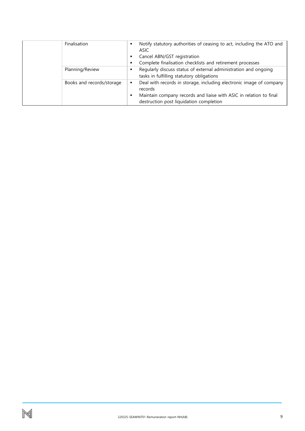| Finalisation              | Notify statutory authorities of ceasing to act, including the ATO and<br>$\blacksquare$<br>ASIC |
|---------------------------|-------------------------------------------------------------------------------------------------|
|                           | Cancel ABN/GST registration                                                                     |
|                           | Complete finalisation checklists and retirement processes                                       |
| Planning/Review           | Regularly discuss status of external administration and ongoing                                 |
|                           | tasks in fulfilling statutory obligations                                                       |
| Books and records/storage | Deal with records in storage, including electronic image of company                             |
|                           | records                                                                                         |
|                           | Maintain company records and liaise with ASIC in relation to final                              |
|                           | destruction post liquidation completion                                                         |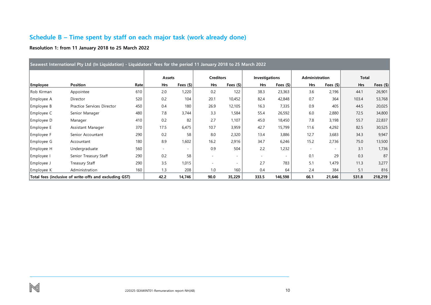# **Schedule B – Time spent by staff on each major task (work already done)**

### **Resolution 1: from 11 January 2018 to 25 March 2022**

<span id="page-10-0"></span>

| Seawest International Pty Ltd (In Liquidation) - Liquidators' fees for the period 11 January 2018 to 25 March 2022 |                                                        |      |        |             |                          |                          |                          |                          |                          |             |              |             |
|--------------------------------------------------------------------------------------------------------------------|--------------------------------------------------------|------|--------|-------------|--------------------------|--------------------------|--------------------------|--------------------------|--------------------------|-------------|--------------|-------------|
|                                                                                                                    |                                                        |      | Assets |             | <b>Creditors</b>         |                          | Investigations           |                          | Administration           |             | <b>Total</b> |             |
| <b>Employee</b>                                                                                                    | Position                                               | Rate | Hrs    | Fees $(\$)$ | <b>Hrs</b>               | Fees $(\$)$              | <b>Hrs</b>               | Fees $(\$) $             | Hrs                      | Fees $(\$)$ | Hrs          | Fees $(\$)$ |
| Rob Kirman                                                                                                         | Appointee                                              | 610  | 2.0    | 1,220       | 0.2                      | 122                      | 38.3                     | 23,363                   | 3.6                      | 2,196       | 44.1         | 26,901      |
| Employee A                                                                                                         | Director                                               | 520  | 0.2    | 104         | 20.1                     | 10,452                   | 82.4                     | 42,848                   | 0.7                      | 364         | 103.4        | 53,768      |
| Employee B                                                                                                         | Practice Services Director                             | 450  | 0.4    | 180         | 26.9                     | 12,105                   | 16.3                     | 7,335                    | 0.9                      | 405         | 44.5         | 20,025      |
| Employee C                                                                                                         | Senior Manager                                         | 480  | 7.8    | 3,744       | 3.3                      | 1,584                    | 55.4                     | 26,592                   | 6.0                      | 2,880       | 72.5         | 34,800      |
| Employee D                                                                                                         | Manager                                                | 410  | 0.2    | 82          | 2.7                      | 1,107                    | 45.0                     | 18,450                   | 7.8                      | 3,198       | 55.7         | 22,837      |
| Employee E                                                                                                         | Assistant Manager                                      | 370  | 17.5   | 6,475       | 10.7                     | 3,959                    | 42.7                     | 15,799                   | 11.6                     | 4,292       | 82.5         | 30,525      |
| Employee F                                                                                                         | Senior Accountant                                      | 290  | 0.2    | 58          | 8.0                      | 2,320                    | 13.4                     | 3,886                    | 12.7                     | 3,683       | 34.3         | 9,947       |
| Employee G                                                                                                         | Accountant                                             | 180  | 8.9    | 1,602       | 16.2                     | 2,916                    | 34.7                     | 6,246                    | 15.2                     | 2,736       | 75.0         | 13,500      |
| Employee H                                                                                                         | Undergraduate                                          | 560  |        |             | 0.9                      | 504                      | 2.2                      | 1,232                    | $\overline{\phantom{a}}$ |             | 3.1          | 1,736       |
| Employee I                                                                                                         | Senior Treasury Staff                                  | 290  | 0.2    | 58          | $\overline{\phantom{a}}$ | $\overline{\phantom{a}}$ | $\overline{\phantom{a}}$ | $\overline{\phantom{a}}$ | 0.1                      | 29          | 0.3          | 87          |
| Employee J                                                                                                         | Treasury Staff                                         | 290  | 3.5    | 1,015       |                          | $\overline{\phantom{a}}$ | 2.7                      | 783                      | 5.1                      | 1,479       | 11.3         | 3,277       |
| Employee K                                                                                                         | Administration                                         | 160  | 1.3    | 208         | 1.0                      | 160                      | 0.4                      | 64                       | 2.4                      | 384         | 5.1          | 816         |
|                                                                                                                    | Total fees (inclusive of write-offs and excluding GST) |      | 42.2   | 14,746      | 90.0                     | 35,229                   | 333.5                    | 146,598                  | 66.1                     | 21,646      | 531.8        | 218,219     |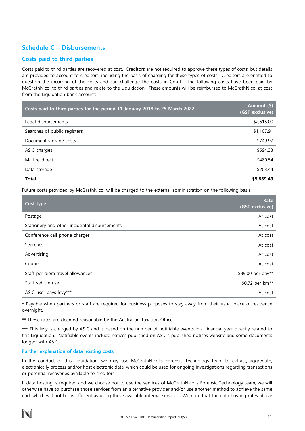# <span id="page-11-0"></span>**Schedule C – Disbursements**

## **Costs paid to third parties**

Costs paid to third parties are recovered at cost. Creditors are not required to approve these types of costs, but details are provided to account to creditors, including the basis of charging for these types of costs. Creditors are entitled to question the incurring of the costs and can challenge the costs in Court.The following costs have been paid by McGrathNicol to third parties and relate to the Liquidation. These amounts will be reimbursed to McGrathNicol at cost from the Liquidation bank account:

| Costs paid to third parties for the period 11 January 2018 to 25 March 2022 | Amount (\$)<br>(GST exclusive) |
|-----------------------------------------------------------------------------|--------------------------------|
| Legal disbursements                                                         | \$2,615.00                     |
| Searches of public registers                                                | \$1,107.91                     |
| Document storage costs                                                      | \$749.97                       |
| ASIC charges                                                                | \$594.33                       |
| Mail re-direct                                                              | \$480.54                       |
| Data storage                                                                | \$203.44                       |
| <b>Total</b>                                                                | \$5,889.49                     |

Future costs provided by McGrathNicol will be charged to the external administration on the following basis:

| Cost type                                     | Rate<br>(GST exclusive)     |
|-----------------------------------------------|-----------------------------|
| Postage                                       | At cost                     |
| Stationery and other incidental disbursements | At cost                     |
| Conference call phone charges                 | At cost                     |
| Searches                                      | At cost                     |
| Advertising                                   | At cost                     |
| Courier                                       | At cost                     |
| Staff per diem travel allowance*              | \$89.00 per day**           |
| Staff vehicle use                             | \$0.72 per km <sup>**</sup> |
| ASIC user pays levy***                        | At cost                     |

\* Payable when partners or staff are required for business purposes to stay away from their usual place of residence overnight.

\*\* These rates are deemed reasonable by the Australian Taxation Office.

\*\*\* This levy is charged by ASIC and is based on the number of notifiable events in a financial year directly related to this Liquidation. Notifiable events include notices published on ASIC's published notices website and some documents lodged with ASIC.

### **Further explanation of data hosting costs**

In the conduct of this Liquidation, we may use McGrathNicol's Forensic Technology team to extract, aggregate, electronically process and/or host electronic data, which could be used for ongoing investigations regarding transactions or potential recoveries available to creditors.

If data hosting is required and we choose not to use the services of McGrathNicol's Forensic Technology team, we will otherwise have to purchase those services from an alternative provider and/or use another method to achieve the same end, which will not be as efficient as using these available internal services. We note that the data hosting rates above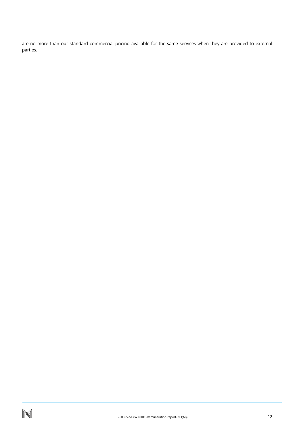are no more than our standard commercial pricing available for the same services when they are provided to external parties.